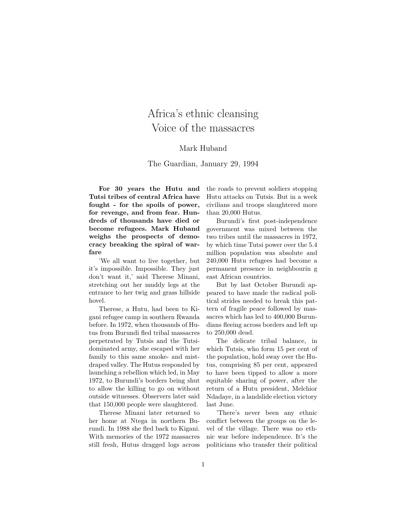## Africa's ethnic cleansing Voice of the massacres

## Mark Huband

The Guardian, January 29, 1994

**For 30 years the Hutu and Tutsi tribes of central Africa have fought - for the spoils of power, for revenge, and from fear. Hundreds of thousands have died or become refugees. Mark Huband weighs the prospects of democracy breaking the spiral of warfare**

'We all want to live together, but it's impossible. Impossible. They just don't want it,' said Therese Minani, stretching out her muddy legs at the entrance to her twig and grass hillside hovel.

Therese, a Hutu, had been to Kigani refugee camp in southern Rwanda before. In 1972, when thousands of Hutus from Burundi fled tribal massacres perpetrated by Tutsis and the Tutsidominated army, she escaped with her family to this same smoke- and mistdraped valley. The Hutus responded by launching a rebellion which led, in May 1972, to Burundi's borders being shut to allow the killing to go on without outside witnesses. Observers later said that 150,000 people were slaughtered.

Therese Minani later returned to her home at Ntega in northern Burundi. In 1988 she fled back to Kigani. With memories of the 1972 massacres still fresh, Hutus dragged logs across the roads to prevent soldiers stopping Hutu attacks on Tutsis. But in a week civilians and troops slaughtered more than 20,000 Hutus.

Burundi's first post-independence government was mixed between the two tribes until the massacres in 1972, by which time Tutsi power over the 5.4 million population was absolute and 240,000 Hutu refugees had become a permanent presence in neighbourin g east African countries.

But by last October Burundi appeared to have made the radical political strides needed to break this pattern of fragile peace followed by massacres which has led to 400,000 Burundians fleeing across borders and left up to 250,000 dead.

The delicate tribal balance, in which Tutsis, who form 15 per cent of the population, hold sway over the Hutus, comprising 85 per cent, appeared to have been tipped to allow a more equitable sharing of power, after the return of a Hutu president, Melchior Ndadaye, in a landslide election victory last June.

'There's never been any ethnic conflict between the groups on the level of the village. There was no ethnic war before independence. It's the politicians who transfer their political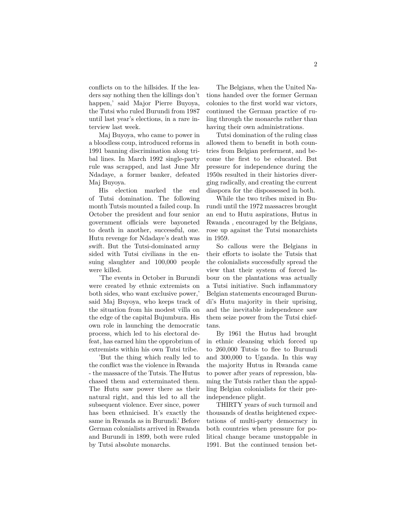conflicts on to the hillsides. If the leaders say nothing then the killings don't happen,' said Major Pierre Buyoya, the Tutsi who ruled Burundi from 1987 until last year's elections, in a rare interview last week.

Maj Buyoya, who came to power in a bloodless coup, introduced reforms in 1991 banning discrimination along tribal lines. In March 1992 single-party rule was scrapped, and last June Mr Ndadaye, a former banker, defeated Maj Buyoya.

His election marked the end of Tutsi domination. The following month Tutsis mounted a failed coup. In October the president and four senior government officials were bayoneted to death in another, successful, one. Hutu revenge for Ndadaye's death was swift. But the Tutsi-dominated army sided with Tutsi civilians in the ensuing slaughter and 100,000 people were killed.

'The events in October in Burundi were created by ethnic extremists on both sides, who want exclusive power,' said Maj Buyoya, who keeps track of the situation from his modest villa on the edge of the capital Bujumbura. His own role in launching the democratic process, which led to his electoral defeat, has earned him the opprobrium of extremists within his own Tutsi tribe.

'But the thing which really led to the conflict was the violence in Rwanda - the massacre of the Tutsis. The Hutus chased them and exterminated them. The Hutu saw power there as their natural right, and this led to all the subsequent violence. Ever since, power has been ethnicised. It's exactly the same in Rwanda as in Burundi.' Before German colonialists arrived in Rwanda and Burundi in 1899, both were ruled by Tutsi absolute monarchs.

The Belgians, when the United Nations handed over the former German colonies to the first world war victors, continued the German practice of ruling through the monarchs rather than having their own administrations.

Tutsi domination of the ruling class allowed them to benefit in both countries from Belgian preferment, and become the first to be educated. But pressure for independence during the 1950s resulted in their histories diverging radically, and creating the current diaspora for the dispossessed in both.

While the two tribes mixed in Burundi until the 1972 massacres brought an end to Hutu aspirations, Hutus in Rwanda , encouraged by the Belgians, rose up against the Tutsi monarchists in 1959.

So callous were the Belgians in their efforts to isolate the Tutsis that the colonialists successfully spread the view that their system of forced labour on the plantations was actually a Tutsi initiative. Such inflammatory Belgian statements encouraged Burundi's Hutu majority in their uprising, and the inevitable independence saw them seize power from the Tutsi chieftans.

By 1961 the Hutus had brought in ethnic cleansing which forced up to 260,000 Tutsis to flee to Burundi and 300,000 to Uganda. In this way the majority Hutus in Rwanda came to power after years of repression, blaming the Tutsis rather than the appalling Belgian colonialists for their preindependence plight.

THIRTY years of such turmoil and thousands of deaths heightened expectations of multi-party democracy in both countries when pressure for political change became unstoppable in 1991. But the continued tension bet-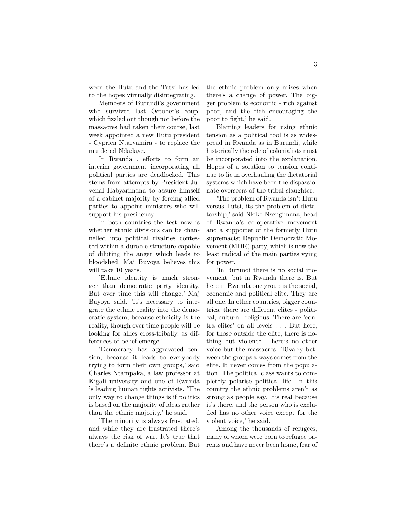ween the Hutu and the Tutsi has led to the hopes virtually disintegrating.

Members of Burundi's government who survived last October's coup, which fizzled out though not before the massacres had taken their course, last week appointed a new Hutu president - Cyprien Ntaryamira - to replace the murdered Ndadaye.

In Rwanda , efforts to form an interim government incorporating all political parties are deadlocked. This stems from attempts by President Juvenal Habyarimana to assure himself of a cabinet majority by forcing allied parties to appoint ministers who will support his presidency.

In both countries the test now is whether ethnic divisions can be channelled into political rivalries contested within a durable structure capable of diluting the anger which leads to bloodshed. Maj Buyoya believes this will take 10 years.

'Ethnic identity is much stronger than democratic party identity. But over time this will change,' Maj Buyoya said. 'It's necessary to integrate the ethnic reality into the democratic system, because ethnicity is the reality, though over time people will be looking for allies cross-tribally, as differences of belief emerge.'

'Democracy has aggravated tension, because it leads to everybody trying to form their own groups,' said Charles Ntampaka, a law professor at Kigali university and one of Rwanda 's leading human rights activists. 'The only way to change things is if politics is based on the majority of ideas rather than the ethnic majority,' he said.

'The minority is always frustrated, and while they are frustrated there's always the risk of war. It's true that there's a definite ethnic problem. But the ethnic problem only arises when there's a change of power. The bigger problem is economic - rich against poor, and the rich encouraging the poor to fight,' he said.

Blaming leaders for using ethnic tension as a political tool is as widespread in Rwanda as in Burundi, while historically the role of colonialists must be incorporated into the explanation. Hopes of a solution to tension continue to lie in overhauling the dictatorial systems which have been the dispassionate overseers of the tribal slaughter.

'The problem of Rwanda isn't Hutu versus Tutsi, its the problem of dictatorship,' said Nkiko Nsengimana, head of Rwanda's co-operative movement and a supporter of the formerly Hutu supremacist Republic Democratic Movement (MDR) party, which is now the least radical of the main parties vying for power.

'In Burundi there is no social movement, but in Rwanda there is. But here in Rwanda one group is the social, economic and political elite. They are all one. In other countries, bigger countries, there are different elites - political, cultural, religious. There are 'contra elites' on all levels . . . But here, for those outside the elite, there is nothing but violence. There's no other voice but the massacres. 'Rivalry between the groups always comes from the elite. It never comes from the population. The political class wants to completely polarise political life. In this country the ethnic problems aren't as strong as people say. It's real because it's there, and the person who is excluded has no other voice except for the violent voice,' he said.

Among the thousands of refugees, many of whom were born to refugee parents and have never been home, fear of